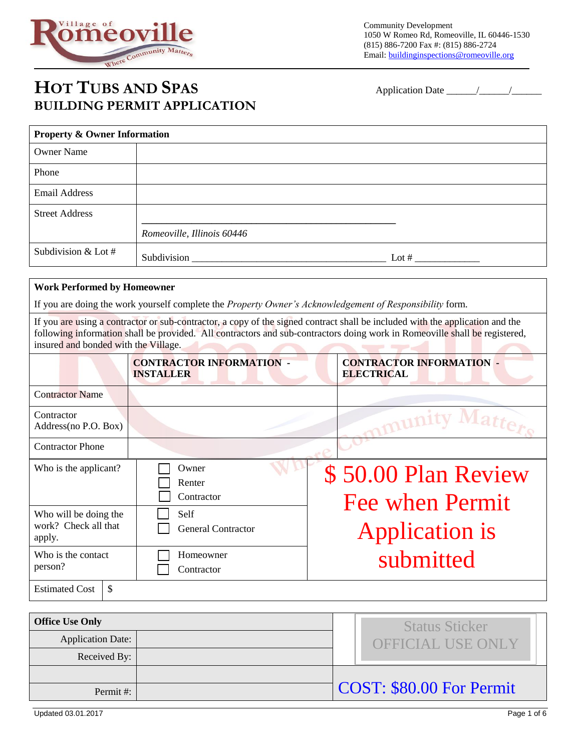

# **HOT TUBS AND SPAS** Application Date \_\_\_\_\_\_/\_\_\_\_\_\_/\_\_\_\_\_\_ **BUILDING PERMIT APPLICATION**

| <b>Property &amp; Owner Information</b> |                            |         |  |  |
|-----------------------------------------|----------------------------|---------|--|--|
| <b>Owner Name</b>                       |                            |         |  |  |
| Phone                                   |                            |         |  |  |
| <b>Email Address</b>                    |                            |         |  |  |
| <b>Street Address</b>                   |                            |         |  |  |
|                                         | Romeoville, Illinois 60446 |         |  |  |
| Subdivision & Lot $#$                   | Subdivision                | Lot $#$ |  |  |

#### **Work Performed by Homeowner**

If you are doing the work yourself complete the *Property Owner's Acknowledgement of Responsibility* form.

If you are using a contractor or sub-contractor, a copy of the signed contract shall be included with the application and the following information shall be provided. All contractors and sub-contractors doing work in Romeoville shall be registered, insured and bonded with the Village. the company's state of the company's

|                                                         | <b>CONTRACTOR INFORMATION -</b><br><b>INSTALLER</b> | <b>CONTRACTOR INFORMATION -</b><br><b>ELECTRICAL</b> |
|---------------------------------------------------------|-----------------------------------------------------|------------------------------------------------------|
| <b>Contractor Name</b>                                  |                                                     |                                                      |
| Contractor<br>Address(no P.O. Box)                      |                                                     | munity                                               |
| <b>Contractor Phone</b>                                 |                                                     |                                                      |
| Who is the applicant?                                   | Owner<br>Renter<br>Contractor                       | \$50.00 Plan Review<br><b>Fee when Permit</b>        |
| Who will be doing the<br>work? Check all that<br>apply. | Self<br><b>General Contractor</b>                   | <b>Application is</b>                                |
| Who is the contact<br>person?                           | Homeowner<br>Contractor                             | submitted                                            |
| <b>Estimated Cost</b><br>\$                             |                                                     |                                                      |

| <b>Office Use Only</b>   |  | <b>Status Sticker</b>    |  |
|--------------------------|--|--------------------------|--|
| <b>Application Date:</b> |  | <b>OFFICIAL USE ONLY</b> |  |
| Received By:             |  |                          |  |
|                          |  |                          |  |
| Permit#:                 |  | COST: \$80.00 For Permit |  |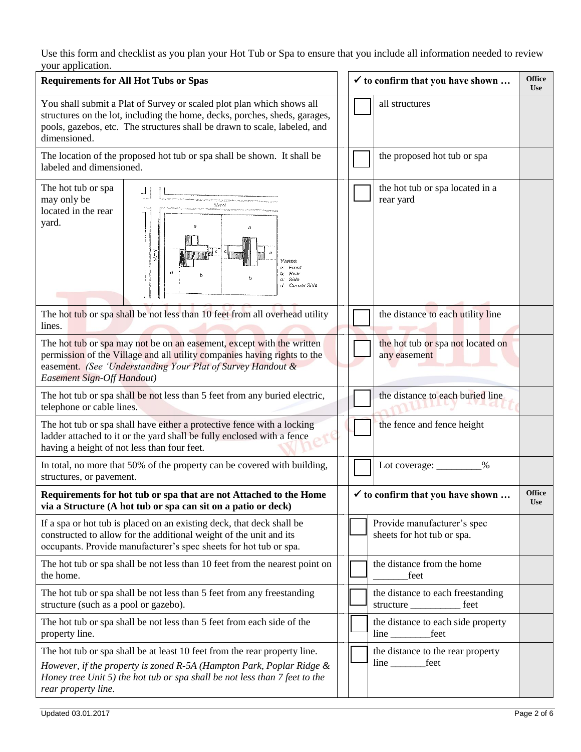Use this form and checklist as you plan your Hot Tub or Spa to ensure that you include all information needed to review your application.

| <b>Requirements for All Hot Tubs or Spas</b>                                                                                                                                                                                                     |  |  | $\checkmark$ to confirm that you have shown                   | <b>Office</b><br><b>Use</b> |
|--------------------------------------------------------------------------------------------------------------------------------------------------------------------------------------------------------------------------------------------------|--|--|---------------------------------------------------------------|-----------------------------|
| You shall submit a Plat of Survey or scaled plot plan which shows all<br>structures on the lot, including the home, decks, porches, sheds, garages,<br>pools, gazebos, etc. The structures shall be drawn to scale, labeled, and<br>dimensioned. |  |  | all structures                                                |                             |
| The location of the proposed hot tub or spa shall be shown. It shall be<br>labeled and dimensioned.                                                                                                                                              |  |  | the proposed hot tub or spa                                   |                             |
| The hot tub or spa<br>may only be<br>Street<br>located in the rear<br>yard.<br>Street<br>YARDS<br>a: From<br>d<br>b. Rear<br>c: Side<br>d: Corner Side                                                                                           |  |  | the hot tub or spa located in a<br>rear yard                  |                             |
| The hot tub or spa shall be not less than 10 feet from all overhead utility<br>lines.                                                                                                                                                            |  |  | the distance to each utility line                             |                             |
| The hot tub or spa may not be on an easement, except with the written<br>permission of the Village and all utility companies having rights to the<br>easement. (See 'Understanding Your Plat of Survey Handout &<br>Easement Sign-Off Handout)   |  |  | the hot tub or spa not located on<br>any easement             |                             |
| The hot tub or spa shall be not less than 5 feet from any buried electric,<br>telephone or cable lines.                                                                                                                                          |  |  | the distance to each buried line                              |                             |
| The hot tub or spa shall have either a protective fence with a locking<br>ladder attached to it or the yard shall be fully enclosed with a fence<br>having a height of not less than four feet.                                                  |  |  | the fence and fence height                                    |                             |
| In total, no more that 50% of the property can be covered with building,<br>structures, or pavement.                                                                                                                                             |  |  | Lot coverage: ____<br>$\%$                                    |                             |
| Requirements for hot tub or spa that are not Attached to the Home<br>via a Structure (A hot tub or spa can sit on a patio or deck)                                                                                                               |  |  | $\checkmark$ to confirm that you have shown                   |                             |
| If a spa or hot tub is placed on an existing deck, that deck shall be<br>constructed to allow for the additional weight of the unit and its<br>occupants. Provide manufacturer's spec sheets for hot tub or spa.                                 |  |  | Provide manufacturer's spec<br>sheets for hot tub or spa.     |                             |
| The hot tub or spa shall be not less than 10 feet from the nearest point on<br>the home.                                                                                                                                                         |  |  | the distance from the home<br>feet                            |                             |
| The hot tub or spa shall be not less than 5 feet from any freestanding<br>structure (such as a pool or gazebo).                                                                                                                                  |  |  | the distance to each freestanding<br>structure<br>feet        |                             |
| The hot tub or spa shall be not less than 5 feet from each side of the<br>property line.                                                                                                                                                         |  |  | the distance to each side property<br>line ______________feet |                             |
| The hot tub or spa shall be at least 10 feet from the rear property line.                                                                                                                                                                        |  |  | the distance to the rear property                             |                             |
| However, if the property is zoned $R$ -5A (Hampton Park, Poplar Ridge $\&$<br>Honey tree Unit $5$ ) the hot tub or spa shall be not less than $7$ feet to the<br>rear property line.                                                             |  |  | line __________feet                                           |                             |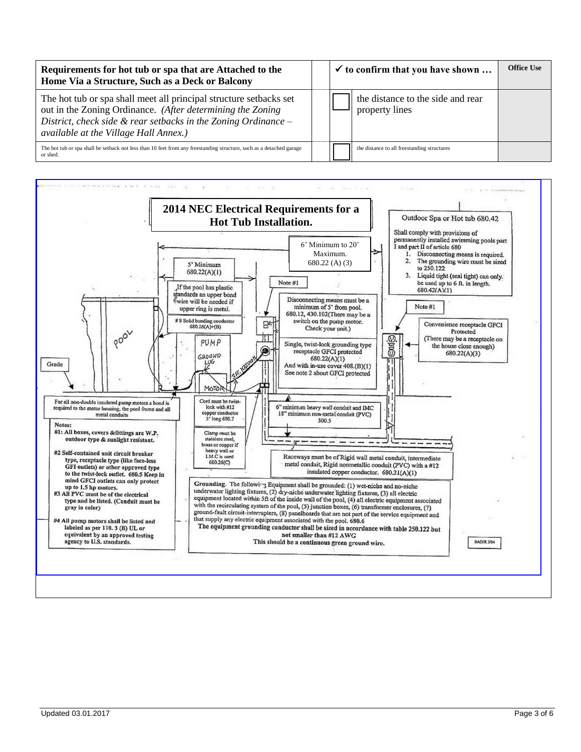| Requirements for hot tub or spa that are Attached to the<br>Home Via a Structure, Such as a Deck or Balcony                                                                                                                                    |  | $\checkmark$ to confirm that you have shown         | <b>Office Use</b> |
|------------------------------------------------------------------------------------------------------------------------------------------------------------------------------------------------------------------------------------------------|--|-----------------------------------------------------|-------------------|
| The hot tub or spa shall meet all principal structure setbacks set<br>out in the Zoning Ordinance. (After determining the Zoning<br>District, check side $\&$ rear setbacks in the Zoning Ordinance –<br>available at the Village Hall Annex.) |  | the distance to the side and rear<br>property lines |                   |
| The hot tub or spa shall be setback not less than 10 feet from any freestanding structure, such as a detached garage<br>or shed.                                                                                                               |  | the distance to all freestanding structures         |                   |

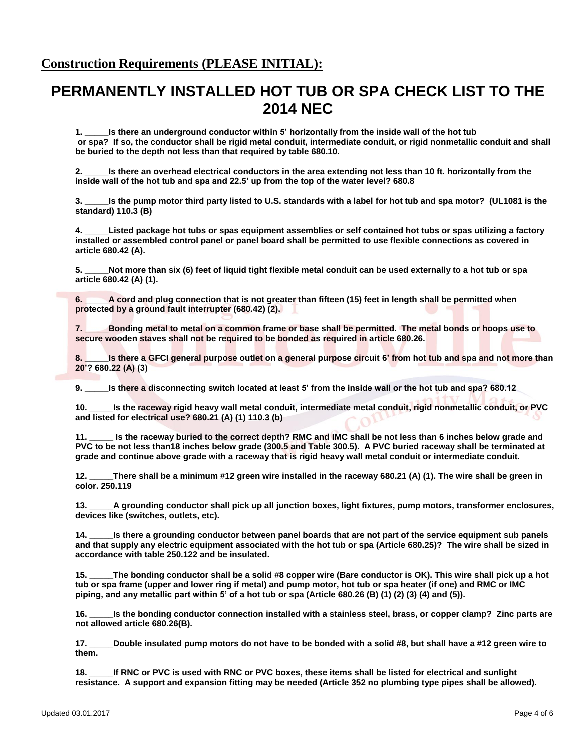#### **Construction Requirements (PLEASE INITIAL):**

## **PERMANENTLY INSTALLED HOT TUB OR SPA CHECK LIST TO THE 2014 NEC**

**1. \_\_\_\_\_Is there an underground conductor within 5' horizontally from the inside wall of the hot tub or spa? If so, the conductor shall be rigid metal conduit, intermediate conduit, or rigid nonmetallic conduit and shall be buried to the depth not less than that required by table 680.10.**

**2. \_\_\_\_\_Is there an overhead electrical conductors in the area extending not less than 10 ft. horizontally from the inside wall of the hot tub and spa and 22.5' up from the top of the water level? 680.8**

**3. \_\_\_\_\_Is the pump motor third party listed to U.S. standards with a label for hot tub and spa motor? (UL1081 is the standard) 110.3 (B)**

**4. \_\_\_\_\_Listed package hot tubs or spas equipment assemblies or self contained hot tubs or spas utilizing a factory installed or assembled control panel or panel board shall be permitted to use flexible connections as covered in article 680.42 (A).** 

**5. \_\_\_\_\_Not more than six (6) feet of liquid tight flexible metal conduit can be used externally to a hot tub or spa article 680.42 (A) (1).** 

**6. \_\_\_\_\_A cord and plug connection that is not greater than fifteen (15) feet in length shall be permitted when protected by a ground fault interrupter (680.42) (2).**

**7. \_\_\_\_\_Bonding metal to metal on a common frame or base shall be permitted. The metal bonds or hoops use to secure wooden staves shall not be required to be bonded as required in article 680.26.**

**8.** Is there a GFCI general purpose outlet on a general purpose circuit 6' from hot tub and spa and not more than **20'? 680.22 (A) (3)**

**9. \_\_\_\_\_Is there a disconnecting switch located at least 5' from the inside wall or the hot tub and spa? 680.12**

**10. \_\_\_\_\_Is the raceway rigid heavy wall metal conduit, intermediate metal conduit, rigid nonmetallic conduit, or PVC and listed for electrical use? 680.21 (A) (1) 110.3 (b)**

**11. \_\_\_\_\_ Is the raceway buried to the correct depth? RMC and IMC shall be not less than 6 inches below grade and PVC to be not less than18 inches below grade (300.5 and Table 300.5). A PVC buried raceway shall be terminated at grade and continue above grade with a raceway that is rigid heavy wall metal conduit or intermediate conduit.**

**12. \_\_\_\_\_There shall be a minimum #12 green wire installed in the raceway 680.21 (A) (1). The wire shall be green in color. 250.119**

**13. \_\_\_\_\_A grounding conductor shall pick up all junction boxes, light fixtures, pump motors, transformer enclosures, devices like (switches, outlets, etc).** 

**14. \_\_\_\_\_Is there a grounding conductor between panel boards that are not part of the service equipment sub panels and that supply any electric equipment associated with the hot tub or spa (Article 680.25)? The wire shall be sized in accordance with table 250.122 and be insulated.** 

**15. \_\_\_\_\_The bonding conductor shall be a solid #8 copper wire (Bare conductor is OK). This wire shall pick up a hot tub or spa frame (upper and lower ring if metal) and pump motor, hot tub or spa heater (if one) and RMC or IMC piping, and any metallic part within 5' of a hot tub or spa (Article 680.26 (B) (1) (2) (3) (4) and (5)).**

**16. \_\_\_\_\_Is the bonding conductor connection installed with a stainless steel, brass, or copper clamp? Zinc parts are not allowed article 680.26(B).**

**17. \_\_\_\_\_Double insulated pump motors do not have to be bonded with a solid #8, but shall have a #12 green wire to them.**

**18. \_\_\_\_\_If RNC or PVC is used with RNC or PVC boxes, these items shall be listed for electrical and sunlight resistance. A support and expansion fitting may be needed (Article 352 no plumbing type pipes shall be allowed).**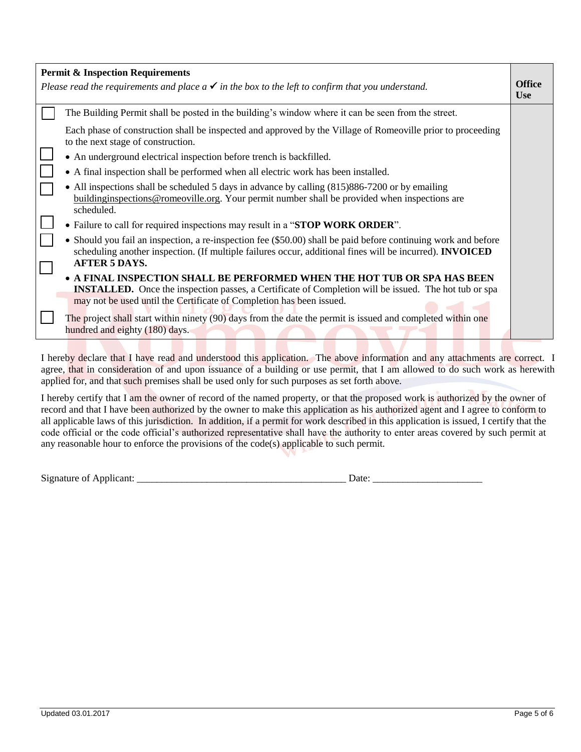| <b>Permit &amp; Inspection Requirements</b>                                                                                                                                                                                                                      |                             |  |  |  |
|------------------------------------------------------------------------------------------------------------------------------------------------------------------------------------------------------------------------------------------------------------------|-----------------------------|--|--|--|
| Please read the requirements and place $a \checkmark$ in the box to the left to confirm that you understand.                                                                                                                                                     | <b>Office</b><br><b>Use</b> |  |  |  |
| The Building Permit shall be posted in the building's window where it can be seen from the street.                                                                                                                                                               |                             |  |  |  |
| Each phase of construction shall be inspected and approved by the Village of Romeoville prior to proceeding<br>to the next stage of construction.                                                                                                                |                             |  |  |  |
| • An underground electrical inspection before trench is backfilled.                                                                                                                                                                                              |                             |  |  |  |
| • A final inspection shall be performed when all electric work has been installed.                                                                                                                                                                               |                             |  |  |  |
| • All inspections shall be scheduled 5 days in advance by calling (815)886-7200 or by emailing<br>building inspections @ romeoville.org. Your permit number shall be provided when inspections are<br>scheduled.                                                 |                             |  |  |  |
| • Failure to call for required inspections may result in a "STOP WORK ORDER".                                                                                                                                                                                    |                             |  |  |  |
| • Should you fail an inspection, a re-inspection fee (\$50.00) shall be paid before continuing work and before<br>scheduling another inspection. (If multiple failures occur, additional fines will be incurred). <b>INVOICED</b><br><b>AFTER 5 DAYS.</b>        |                             |  |  |  |
| • A FINAL INSPECTION SHALL BE PERFORMED WHEN THE HOT TUB OR SPA HAS BEEN<br><b>INSTALLED.</b> Once the inspection passes, a Certificate of Completion will be issued. The hot tub or spa<br>may not be used until the Certificate of Completion has been issued. |                             |  |  |  |
| The project shall start within ninety (90) days from the date the permit is issued and completed within one<br>hundred and eighty (180) days.                                                                                                                    |                             |  |  |  |
|                                                                                                                                                                                                                                                                  |                             |  |  |  |

I hereby declare that I have read and understood this application. The above information and any attachments are correct. I agree, that in consideration of and upon issuance of a building or use permit, that I am allowed to do such work as herewith applied for, and that such premises shall be used only for such purposes as set forth above.

I hereby certify that I am the owner of record of the named property, or that the proposed work is authorized by the owner of record and that I have been authorized by the owner to make this application as his authorized agent and I agree to conform to all applicable laws of this jurisdiction. In addition, if a permit for work described in this application is issued, I certify that the code official or the code official's authorized representative shall have the authority to enter areas covered by such permit at any reasonable hour to enforce the provisions of the code(s) applicable to such permit.

Signature of Applicant:  $\Box$